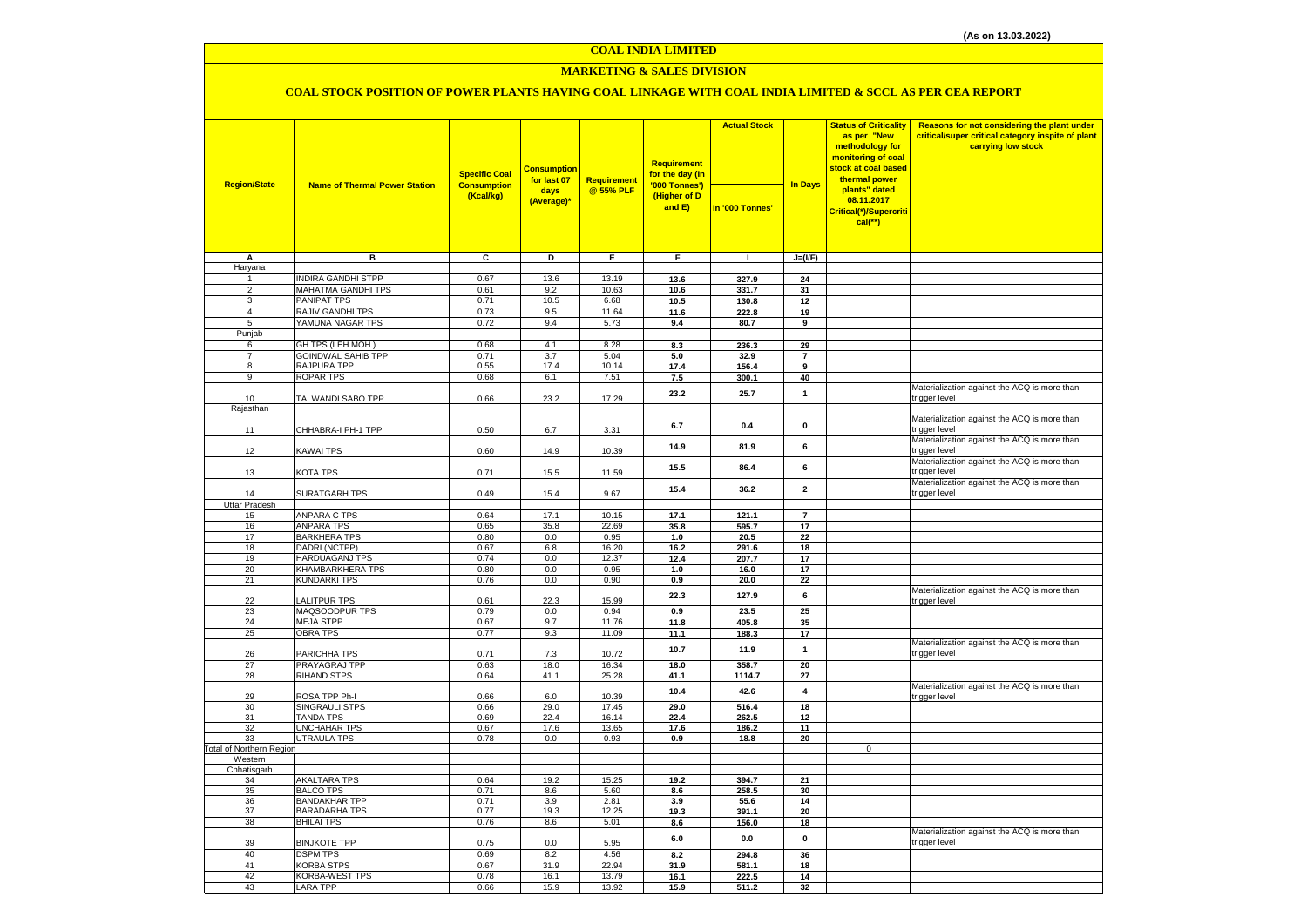#### **COAL INDIA LIMITED**

### **MARKETING & SALES DIVISION**

### **COAL STOCK POSITION OF POWER PLANTS HAVING COAL LINKAGE WITH COAL INDIA LIMITED & SCCL AS PER CEA REPORT**

| <b>Region/State</b>             |                                           | <b>Specific Coal</b>            | <b>Consumption</b><br>for last 07 | Requirement    | <b>Requirement</b><br>for the day (In<br>'000 Tonnes') | <b>Actual Stock</b> | In Days                       | <b>Status of Criticality</b><br>as per "New<br>methodology for<br>monitoring of coal<br>stock at coal based<br>thermal power | Reasons for not considering the plant under<br>critical/super critical category inspite of plant<br>carrying low stock |
|---------------------------------|-------------------------------------------|---------------------------------|-----------------------------------|----------------|--------------------------------------------------------|---------------------|-------------------------------|------------------------------------------------------------------------------------------------------------------------------|------------------------------------------------------------------------------------------------------------------------|
|                                 | <b>Name of Thermal Power Station</b>      | <b>Consumption</b><br>(Kcal/kg) | days<br>(Average)*                | @ 55% PLF      | (Higher of D<br>and $E$ )                              | In '000 Tonnes'     |                               | plants" dated<br>08.11.2017<br>Critical(*)/Supercriti<br>$cal$ (**)                                                          |                                                                                                                        |
|                                 |                                           |                                 |                                   |                |                                                        |                     |                               |                                                                                                                              |                                                                                                                        |
| A<br>Haryana                    | в                                         | С                               | D                                 | Ε.             | F.                                                     | п.                  | $J=(I/F)$                     |                                                                                                                              |                                                                                                                        |
|                                 | <b>INDIRA GANDHI STPP</b>                 | 0.67                            | 13.6                              | 13.19          | 13.6                                                   | 327.9               | 24                            |                                                                                                                              |                                                                                                                        |
| $\overline{2}$                  | <b>MAHATMA GANDHI TPS</b>                 | 0.61                            | 9.2                               | 10.63          | 10.6                                                   | 331.7               | 31                            |                                                                                                                              |                                                                                                                        |
| 3                               | <b>PANIPAT TPS</b>                        | 0.71                            | 10.5                              | 6.68           | 10.5                                                   | 130.8               | 12                            |                                                                                                                              |                                                                                                                        |
| 4<br>5                          | RAJIV GANDHI TPS<br>YAMUNA NAGAR TPS      | 0.73<br>0.72                    | 9.5<br>9.4                        | 11.64<br>5.73  | 11.6<br>9.4                                            | 222.8<br>80.7       | 19<br>9                       |                                                                                                                              |                                                                                                                        |
| Punjab                          |                                           |                                 |                                   |                |                                                        |                     |                               |                                                                                                                              |                                                                                                                        |
| 6                               | GH TPS (LEH.MOH.)                         | 0.68                            | 4.1                               | 8.28           | 8.3                                                    | 236.3               | 29                            |                                                                                                                              |                                                                                                                        |
| $\overline{7}$                  | <b>GOINDWAL SAHIB TPP</b>                 | 0.71                            | 3.7                               | 5.04           | 5.0                                                    | 32.9                | $\overline{7}$                |                                                                                                                              |                                                                                                                        |
| 8                               | RAJPURA TPP                               | 0.55                            | 17.4                              | 10.14          | 17.4                                                   | 156.4               | 9                             |                                                                                                                              |                                                                                                                        |
| 9                               | ROPAR TPS                                 | 0.68                            | 6.1                               | 7.51           | 7.5                                                    | 300.1               | 40                            |                                                                                                                              | Materialization against the ACQ is more than                                                                           |
| 10                              | TALWANDI SABO TPP                         | 0.66                            | 23.2                              | 17.29          | 23.2                                                   | 25.7                | $\mathbf{1}$                  |                                                                                                                              | trigger level                                                                                                          |
| Rajasthan                       |                                           |                                 |                                   |                |                                                        |                     |                               |                                                                                                                              |                                                                                                                        |
| 11                              | CHHABRA-I PH-1 TPP                        | 0.50                            | 6.7                               | 3.31           | 6.7                                                    | 0.4                 | $\pmb{0}$                     |                                                                                                                              | Materialization against the ACQ is more than<br>trigger level                                                          |
| 12                              | <b>KAWAI TPS</b>                          | 0.60                            | 14.9                              | 10.39          | 14.9                                                   | 81.9                | 6                             |                                                                                                                              | Materialization against the ACQ is more than<br>trigger level                                                          |
| 13                              | KOTA TPS                                  | 0.71                            | 15.5                              | 11.59          | 15.5                                                   | 86.4                | 6                             |                                                                                                                              | Materialization against the ACQ is more than<br>trigger level<br>Materialization against the ACQ is more than          |
| 14<br>Uttar Pradesh             | SURATGARH TPS                             | 0.49                            | 15.4                              | 9.67           | 15.4                                                   | 36.2                | $\mathbf{2}$                  |                                                                                                                              | trigger level                                                                                                          |
| 15                              | <b>ANPARA C TPS</b>                       | 0.64                            | 17.1                              | 10.15          | 17.1                                                   | 121.1               | $\overline{7}$                |                                                                                                                              |                                                                                                                        |
| 16                              | ANPARA TPS                                | 0.65                            | 35.8                              | 22.69          | 35.8                                                   | 595.7               | 17                            |                                                                                                                              |                                                                                                                        |
| 17                              | <b>BARKHERA TPS</b>                       | 0.80                            | 0.0                               | 0.95           | 1.0                                                    | 20.5                | 22                            |                                                                                                                              |                                                                                                                        |
| 18                              | DADRI (NCTPP)                             | 0.67                            | 6.8                               | 16.20          | 16.2                                                   | 291.6               | 18                            |                                                                                                                              |                                                                                                                        |
| 19<br>20                        | <b>HARDUAGANJ TPS</b><br>KHAMBARKHERA TPS | 0.74<br>0.80                    | 0.0<br>0.0                        | 12.37<br>0.95  | 12.4<br>1.0                                            | 207.7<br>16.0       | 17<br>17                      |                                                                                                                              |                                                                                                                        |
| 21                              | KUNDARKI TPS                              | 0.76                            | 0.0                               | 0.90           | 0.9                                                    | 20.0                | 22                            |                                                                                                                              |                                                                                                                        |
| 22                              | LALITPUR TPS                              | 0.61                            | 22.3                              | 15.99          | 22.3                                                   | 127.9               | 6                             |                                                                                                                              | Materialization against the ACQ is more than<br>trigger level                                                          |
| 23                              | MAQSOODPUR TPS                            | 0.79                            | 0.0                               | 0.94           | 0.9                                                    | 23.5                | 25                            |                                                                                                                              |                                                                                                                        |
| 24                              | <b>MEJA STPP</b>                          | 0.67                            | 9.7                               | 11.76          | 11.8                                                   | 405.8               | 35                            |                                                                                                                              |                                                                                                                        |
| 25                              | <b>OBRA TPS</b>                           | 0.77                            | 9.3                               | 11.09          | 11.1                                                   | 188.3               | 17                            |                                                                                                                              | Materialization against the ACQ is more than                                                                           |
| 26                              | PARICHHA TPS                              | 0.71                            | 7.3                               | 10.72          | 10.7                                                   | 11.9                | $\mathbf{1}$                  |                                                                                                                              | trigger level                                                                                                          |
| 27<br>28                        | PRAYAGRAJ TPP<br><b>RIHAND STPS</b>       | 0.63<br>0.64                    | 18.0<br>41.1                      | 16.34<br>25.28 | 18.0                                                   | 358.7               | 20                            |                                                                                                                              |                                                                                                                        |
| 29                              | ROSA TPP Ph-I                             | 0.66                            | 6.0                               | 10.39          | 41.1<br>10.4                                           | 1114.7<br>42.6      | 27<br>$\overline{\mathbf{4}}$ |                                                                                                                              | Materialization against the ACQ is more than<br>trigger level                                                          |
| 30                              | SINGRAULI STPS                            | 0.66                            | 29.0                              | 17.45          | 29.0                                                   | 516.4               | 18                            |                                                                                                                              |                                                                                                                        |
| 31                              | <b>TANDA TPS</b>                          | 0.69                            | 22.4                              | 16.14          | 22.4                                                   | 262.5               | 12                            |                                                                                                                              |                                                                                                                        |
| 32<br>33                        | <b>UNCHAHAR TPS</b><br><b>UTRAULA TPS</b> | 0.67<br>0.78                    | 17.6<br>$0.0\,$                   | 13.65<br>0.93  | 17.6<br>0.9                                            | 186.2<br>18.8       | 11<br>20                      |                                                                                                                              |                                                                                                                        |
| <b>Total of Northern Region</b> |                                           |                                 |                                   |                |                                                        |                     |                               | $\mathbf 0$                                                                                                                  |                                                                                                                        |
| Western                         |                                           |                                 |                                   |                |                                                        |                     |                               |                                                                                                                              |                                                                                                                        |
| Chhatisgarh                     |                                           |                                 |                                   |                |                                                        |                     |                               |                                                                                                                              |                                                                                                                        |
| 34<br>35                        | <b>AKALTARA TPS</b><br><b>BALCO TPS</b>   | 0.64<br>0.71                    | 19.2<br>8.6                       | 15.25<br>5.60  | 19.2<br>8.6                                            | 394.7<br>258.5      | 21<br>30                      |                                                                                                                              |                                                                                                                        |
| 36                              | <b>BANDAKHAR TPP</b>                      | 0.71                            | 3.9                               | 2.81           | 3.9                                                    | 55.6                | 14                            |                                                                                                                              |                                                                                                                        |
| 37                              | <b>BARADARHA TPS</b>                      | 0.77                            | 19.3                              | 12.25          | 19.3                                                   | 391.1               | 20                            |                                                                                                                              |                                                                                                                        |
| 38                              | <b>BHILAI TPS</b>                         | 0.76                            | 8.6                               | 5.01           | 8.6                                                    | 156.0               | 18                            |                                                                                                                              |                                                                                                                        |
| 39                              | <b>BINJKOTE TPP</b>                       | 0.75                            | 0.0                               | 5.95           | $6.0\,$                                                | 0.0                 | $\pmb{0}$                     |                                                                                                                              | Materialization against the ACQ is more than<br>trigger level                                                          |
| 40<br>41                        | <b>DSPM TPS</b>                           | 0.69<br>0.67                    | 8.2<br>31.9                       | 4.56           | 8.2                                                    | 294.8               | 36                            |                                                                                                                              |                                                                                                                        |
| 42                              | <b>KORBA STPS</b><br>KORBA-WEST TPS       | 0.78                            | 16.1                              | 22.94<br>13.79 | 31.9<br>16.1                                           | 581.1<br>222.5      | 18<br>14                      |                                                                                                                              |                                                                                                                        |
| 43                              | <b>LARA TPP</b>                           | 0.66                            | 15.9                              | 13.92          | 15.9                                                   | 511.2               | 32                            |                                                                                                                              |                                                                                                                        |
|                                 |                                           |                                 |                                   |                |                                                        |                     |                               |                                                                                                                              |                                                                                                                        |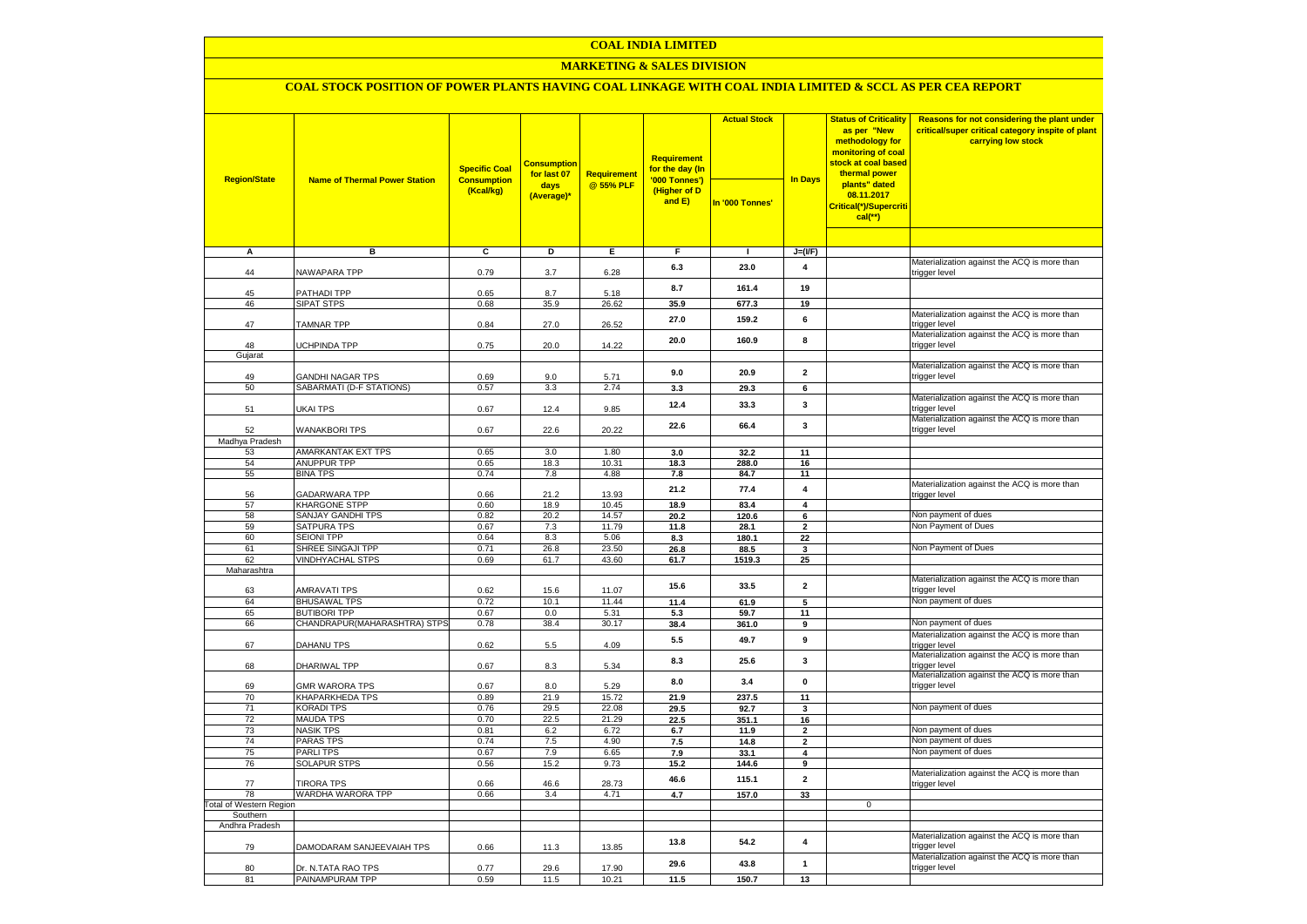### **COAL INDIA LIMITED**

### **MARKETING & SALES DIVISION**

# **COAL STOCK POSITION OF POWER PLANTS HAVING COAL LINKAGE WITH COAL INDIA LIMITED & SCCL AS PER CEA REPORT**

| <b>Region/State</b>                        | <b>Name of Thermal Power Station</b>         | <b>Specific Coal</b><br><b>Consumption</b><br>(Kcal/kg) | <b>Consumption</b><br>for last 07<br>days<br>(Average)* | <b>Requirement</b><br>@ 55% PLF | <b>Requirement</b><br>for the day (In<br>'000 Tonnes')<br>(Higher of D<br>and E) | <b>Actual Stock</b><br>In '000 Tonnes' | <b>In Days</b>          | <b>Status of Criticality</b><br>as per "New<br>methodology for<br>monitoring of coal<br>stock at coal based<br>thermal power<br>plants" dated<br>08.11.2017<br>Critical(*)/Supercriti<br>$cal$ (**) | Reasons for not considering the plant under<br>critical/super critical category inspite of plant<br>carrying low stock |
|--------------------------------------------|----------------------------------------------|---------------------------------------------------------|---------------------------------------------------------|---------------------------------|----------------------------------------------------------------------------------|----------------------------------------|-------------------------|-----------------------------------------------------------------------------------------------------------------------------------------------------------------------------------------------------|------------------------------------------------------------------------------------------------------------------------|
|                                            |                                              |                                                         |                                                         |                                 |                                                                                  |                                        |                         |                                                                                                                                                                                                     |                                                                                                                        |
| A                                          | в                                            | c                                                       | D                                                       | Ε                               | F                                                                                | $\blacksquare$                         | $J=(I/F)$               |                                                                                                                                                                                                     |                                                                                                                        |
| 44                                         | NAWAPARA TPP                                 | 0.79                                                    | 3.7                                                     | 6.28                            | 6.3                                                                              | 23.0                                   | 4                       |                                                                                                                                                                                                     | Materialization against the ACQ is more than<br>trigger level                                                          |
| 45                                         | PATHADI TPP                                  | 0.65                                                    | 8.7                                                     | 5.18                            | 8.7                                                                              | 161.4                                  | 19                      |                                                                                                                                                                                                     |                                                                                                                        |
| 46                                         | <b>SIPAT STPS</b>                            | 0.68                                                    | 35.9                                                    | 26.62                           | 35.9                                                                             | 677.3                                  | 19                      |                                                                                                                                                                                                     |                                                                                                                        |
| 47                                         | <b>TAMNAR TPP</b>                            | 0.84                                                    | 27.0                                                    | 26.52                           | 27.0                                                                             | 159.2                                  | 6                       |                                                                                                                                                                                                     | Materialization against the ACQ is more than<br>trigger level                                                          |
| 48<br>Gujarat                              | <b>UCHPINDA TPP</b>                          | 0.75                                                    | 20.0                                                    | 14.22                           | 20.0                                                                             | 160.9                                  | 8                       |                                                                                                                                                                                                     | Materialization against the ACQ is more than<br>trigger level                                                          |
|                                            |                                              |                                                         |                                                         |                                 |                                                                                  |                                        |                         |                                                                                                                                                                                                     | Materialization against the ACQ is more than                                                                           |
| 49                                         | <b>GANDHI NAGAR TPS</b>                      | 0.69                                                    | 9.0                                                     | 5.71                            | 9.0                                                                              | 20.9                                   | $\overline{2}$          |                                                                                                                                                                                                     | trigger level                                                                                                          |
| 50                                         | SABARMATI (D-F STATIONS)                     | 0.57                                                    | 3.3                                                     | 2.74                            | 3.3                                                                              | 29.3                                   | 6                       |                                                                                                                                                                                                     |                                                                                                                        |
| 51                                         | UKAI TPS                                     | 0.67                                                    | 12.4                                                    | 9.85                            | 12.4                                                                             | 33.3                                   | 3                       |                                                                                                                                                                                                     | Materialization against the ACQ is more than<br>trigger level                                                          |
| 52                                         | <b>WANAKBORI TPS</b>                         | 0.67                                                    | 22.6                                                    | 20.22                           | 22.6                                                                             | 66.4                                   | $\mathbf{3}$            |                                                                                                                                                                                                     | Materialization against the ACQ is more than<br>trigger level                                                          |
| Madhya Pradesh                             |                                              |                                                         | 3.0                                                     | 1.80                            |                                                                                  |                                        | 11                      |                                                                                                                                                                                                     |                                                                                                                        |
| 53<br>54                                   | AMARKANTAK EXT TPS<br><b>ANUPPUR TPP</b>     | 0.65<br>0.65                                            | 18.3                                                    | 10.31                           | 3.0<br>18.3                                                                      | 32.2<br>288.0                          | 16                      |                                                                                                                                                                                                     |                                                                                                                        |
| 55                                         | <b>BINA TPS</b>                              | 0.74                                                    | 7.8                                                     | 4.88                            | 7.8                                                                              | 84.7                                   | 11                      |                                                                                                                                                                                                     |                                                                                                                        |
| 56                                         | GADARWARA TPP                                | 0.66                                                    | 21.2                                                    | 13.93                           | 21.2                                                                             | 77.4                                   | 4                       |                                                                                                                                                                                                     | Materialization against the ACQ is more than<br>trigger level                                                          |
| 57                                         | KHARGONE STPP                                | 0.60                                                    | 18.9                                                    | 10.45                           | 18.9                                                                             | 83.4                                   | 4                       |                                                                                                                                                                                                     |                                                                                                                        |
| 58                                         | SANJAY GANDHI TPS                            | 0.82                                                    | 20.2                                                    | 14.57                           | 20.2                                                                             | 120.6                                  | $6\overline{6}$         |                                                                                                                                                                                                     | Non payment of dues                                                                                                    |
| 59                                         | <b>SATPURA TPS</b>                           | 0.67                                                    | 7.3                                                     | 11.79                           | 11.8                                                                             | 28.1                                   | $\mathbf{2}$            |                                                                                                                                                                                                     | Non Payment of Dues                                                                                                    |
| 60<br>61                                   | <b>SEIONI TPP</b>                            | 0.64<br>0.71                                            | 8.3                                                     | 5.06                            | 8.3                                                                              | 180.1                                  | 22                      |                                                                                                                                                                                                     | Non Payment of Dues                                                                                                    |
| 62                                         | SHREE SINGAJI TPP<br><b>VINDHYACHAL STPS</b> | 0.69                                                    | 26.8<br>61.7                                            | 23.50<br>43.60                  | 26.8<br>61.7                                                                     | 88.5<br>1519.3                         | 3<br>25                 |                                                                                                                                                                                                     |                                                                                                                        |
| Maharashtra                                |                                              |                                                         |                                                         |                                 |                                                                                  |                                        |                         |                                                                                                                                                                                                     |                                                                                                                        |
| 63                                         | <b>AMRAVATI TPS</b>                          | 0.62                                                    | 15.6                                                    | 11.07                           | 15.6                                                                             | 33.5                                   | $\overline{\mathbf{2}}$ |                                                                                                                                                                                                     | Materialization against the ACQ is more than<br>trigger level                                                          |
| 64                                         | <b>BHUSAWAL TPS</b>                          | 0.72                                                    | 10.1                                                    | 11.44                           | 11.4                                                                             | 61.9                                   | 5                       |                                                                                                                                                                                                     | Non payment of dues                                                                                                    |
| 65                                         | <b>BUTIBORI TPP</b>                          | 0.67                                                    | 0.0                                                     | 5.31                            | 5.3                                                                              | 59.7                                   | 11                      |                                                                                                                                                                                                     |                                                                                                                        |
| 66                                         | CHANDRAPUR(MAHARASHTRA) STPS                 | 0.78                                                    | 38.4                                                    | 30.17                           | 38.4                                                                             | 361.0                                  | 9                       |                                                                                                                                                                                                     | Non payment of dues                                                                                                    |
| 67                                         | <b>DAHANU TPS</b>                            | 0.62                                                    | 5.5                                                     | 4.09                            | 5.5                                                                              | 49.7                                   | 9                       |                                                                                                                                                                                                     | Materialization against the ACQ is more than<br>trigger level                                                          |
| 68                                         | DHARIWAL TPP                                 | 0.67                                                    | 8.3                                                     | 5.34                            | 8.3                                                                              | 25.6                                   | 3                       |                                                                                                                                                                                                     | Materialization against the ACQ is more than<br>trigger level                                                          |
| 69                                         | <b>GMR WARORA TPS</b>                        | 0.67                                                    | 8.0                                                     | 5.29                            | 8.0                                                                              | 3.4                                    | $\pmb{0}$               |                                                                                                                                                                                                     | Materialization against the ACQ is more than<br>trigger level                                                          |
| 70<br>71                                   | <b>KHAPARKHEDA TPS</b><br><b>KORADI TPS</b>  | 0.89<br>0.76                                            | 21.9<br>29.5                                            | 15.72<br>22.08                  | 21.9<br>29.5                                                                     | 237.5<br>92.7                          | 11<br>3                 |                                                                                                                                                                                                     | Non payment of dues                                                                                                    |
| 72                                         | <b>MAUDA TPS</b>                             | 0.70                                                    | 22.5                                                    | 21.29                           | 22.5                                                                             | 351.1                                  | 16                      |                                                                                                                                                                                                     |                                                                                                                        |
| 73                                         | <b>NASIK TPS</b>                             | 0.81                                                    | 6.2                                                     | 6.72                            | 6.7                                                                              | 11.9                                   | $\overline{2}$          |                                                                                                                                                                                                     | Non payment of dues                                                                                                    |
| 74                                         | <b>PARAS TPS</b>                             | 0.74                                                    | 7.5                                                     | 4.90                            | 7.5                                                                              | 14.8                                   | $\overline{2}$          |                                                                                                                                                                                                     | Non payment of dues                                                                                                    |
| 75                                         | <b>PARLITPS</b>                              | 0.67                                                    | 7.9                                                     | 6.65                            | 7.9                                                                              | 33.1                                   | 4                       |                                                                                                                                                                                                     | Non payment of dues                                                                                                    |
| 76                                         | <b>SOLAPUR STPS</b>                          | 0.56                                                    | 15.2                                                    | 9.73                            | 15.2                                                                             | 144.6                                  | 9                       |                                                                                                                                                                                                     |                                                                                                                        |
| 77                                         | <b>TIRORA TPS</b>                            | 0.66                                                    | 46.6                                                    | 28.73                           | 46.6                                                                             | 115.1                                  | $\overline{2}$          |                                                                                                                                                                                                     | Materialization against the ACQ is more than<br>trigger level                                                          |
| 78                                         | WARDHA WARORA TPP                            | 0.66                                                    | 3.4                                                     | 4.71                            | 4.7                                                                              | 157.0                                  | 33                      |                                                                                                                                                                                                     |                                                                                                                        |
| <b>Total of Western Region</b><br>Southern |                                              |                                                         |                                                         |                                 |                                                                                  |                                        |                         | $\mathbf 0$                                                                                                                                                                                         |                                                                                                                        |
| Andhra Pradesh                             |                                              |                                                         |                                                         |                                 |                                                                                  |                                        |                         |                                                                                                                                                                                                     |                                                                                                                        |
| 79                                         | DAMODARAM SANJEEVAIAH TPS                    | 0.66                                                    | 11.3                                                    | 13.85                           | 13.8                                                                             | 54.2                                   | 4                       |                                                                                                                                                                                                     | Materialization against the ACQ is more than<br>trigger level                                                          |
| 80                                         | Dr. N.TATA RAO TPS                           | 0.77                                                    | 29.6                                                    | 17.90                           | 29.6                                                                             | 43.8                                   | $\mathbf{1}$            |                                                                                                                                                                                                     | Materialization against the ACQ is more than<br>trigger level                                                          |
| 81                                         | PAINAMPURAM TPP                              | 0.59                                                    | 11.5                                                    | 10.21                           | 11.5                                                                             | 150.7                                  | 13                      |                                                                                                                                                                                                     |                                                                                                                        |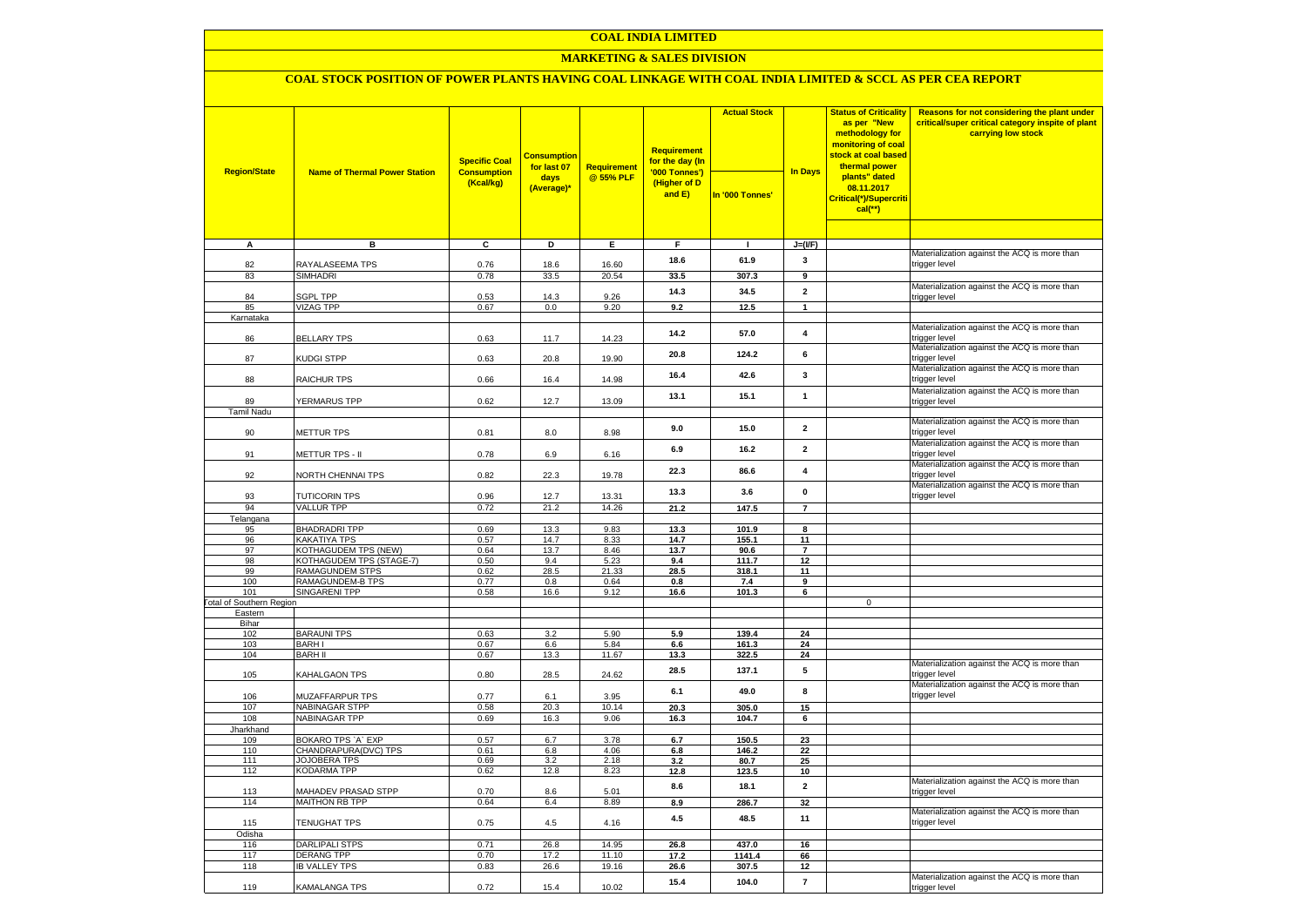### **COAL INDIA LIMITED**

### **MARKETING & SALES DIVISION**

## **COAL STOCK POSITION OF POWER PLANTS HAVING COAL LINKAGE WITH COAL INDIA LIMITED & SCCL AS PER CEA REPORT**

|                                        |                                            | <b>Specific Coal</b>            | <b>Consumption</b><br>for last 07 | Requirement    | <b>Requirement</b><br>for the day (In   | <b>Actual Stock</b> |                         | <b>Status of Criticality</b><br>as per "New<br>methodology for<br>monitoring of coal<br><mark>stock at coal based</mark><br>thermal power | Reasons for not considering the plant under<br>critical/super critical category inspite of plant<br>carrying low stock |
|----------------------------------------|--------------------------------------------|---------------------------------|-----------------------------------|----------------|-----------------------------------------|---------------------|-------------------------|-------------------------------------------------------------------------------------------------------------------------------------------|------------------------------------------------------------------------------------------------------------------------|
| <b>Region/State</b>                    | <b>Name of Thermal Power Station</b>       | <b>Consumption</b><br>(Kcal/kg) | days<br>(Average)*                | @ 55% PLF      | '000 Tonnes')<br>(Higher of D<br>and E) | In '000 Tonnes'     | <b>In Days</b>          | plants" dated<br>08.11.2017<br>Critical(*)/Supercriti<br>$cal$ (**)                                                                       |                                                                                                                        |
|                                        |                                            |                                 |                                   |                |                                         |                     |                         |                                                                                                                                           |                                                                                                                        |
| $\overline{A}$                         | в                                          | c                               | Þ                                 | E              | F                                       | $\mathbf{I}$        | $J=(I/F)$               |                                                                                                                                           | Materialization against the ACQ is more than                                                                           |
| 82                                     | RAYALASEEMA TPS                            | 0.76                            | 18.6                              | 16.60          | 18.6                                    | 61.9                | 3                       |                                                                                                                                           | trigger level                                                                                                          |
| 83                                     | <b>SIMHADRI</b>                            | 0.78                            | 33.5                              | 20.54          | 33.5                                    | 307.3               | $\overline{9}$          |                                                                                                                                           |                                                                                                                        |
|                                        |                                            |                                 |                                   |                | 14.3                                    | 34.5                | $\overline{2}$          |                                                                                                                                           | Materialization against the ACQ is more than                                                                           |
| 84                                     | <b>SGPL TPP</b>                            | 0.53                            | 14.3                              | 9.26           |                                         |                     |                         |                                                                                                                                           | trigger level                                                                                                          |
| 85<br>Karnataka                        | <b>VIZAG TPP</b>                           | 0.67                            | 0.0                               | 9.20           | 9.2                                     | 12.5                | $\mathbf{1}$            |                                                                                                                                           |                                                                                                                        |
|                                        |                                            |                                 |                                   |                |                                         |                     |                         |                                                                                                                                           | Materialization against the ACQ is more than                                                                           |
| 86                                     | <b>BELLARY TPS</b>                         | 0.63                            | 11.7                              | 14.23          | 14.2                                    | 57.0                | $\overline{\mathbf{4}}$ |                                                                                                                                           | trigger level                                                                                                          |
| 87                                     | KUDGI STPP                                 | 0.63                            | 20.8                              | 19.90          | 20.8                                    | 124.2               | 6                       |                                                                                                                                           | Materialization against the ACQ is more than<br>trigger level                                                          |
| 88                                     | RAICHUR TPS                                | 0.66                            | 16.4                              | 14.98          | 16.4                                    | 42.6                | $\mathbf{3}$            |                                                                                                                                           | Materialization against the ACQ is more than<br>trigger level                                                          |
|                                        |                                            |                                 |                                   |                | 13.1                                    | 15.1                | $\mathbf{1}$            |                                                                                                                                           | Materialization against the ACQ is more than                                                                           |
| 89<br><b>Tamil Nadu</b>                | YERMARUS TPP                               | 0.62                            | 12.7                              | 13.09          |                                         |                     |                         |                                                                                                                                           | trigger level                                                                                                          |
|                                        |                                            |                                 |                                   |                |                                         |                     |                         |                                                                                                                                           | Materialization against the ACQ is more than                                                                           |
| 90                                     | <b>METTUR TPS</b>                          | 0.81                            | 8.0                               | 8.98           | 9.0                                     | 15.0                | $\overline{\mathbf{2}}$ |                                                                                                                                           | trigger level                                                                                                          |
| 91                                     | METTUR TPS - II                            | 0.78                            | 6.9                               | 6.16           | 6.9                                     | 16.2                | $\overline{\mathbf{2}}$ |                                                                                                                                           | Materialization against the ACQ is more than<br>trigger level                                                          |
| 92                                     | NORTH CHENNAI TPS                          | 0.82                            | 22.3                              | 19.78          | 22.3                                    | 86.6                | $\overline{\mathbf{4}}$ |                                                                                                                                           | Materialization against the ACQ is more than<br>trigger level                                                          |
| 93                                     | <b>TUTICORIN TPS</b>                       | 0.96                            | 12.7                              | 13.31          | 13.3                                    | 3.6                 | $\mathbf{0}$            |                                                                                                                                           | Materialization against the ACQ is more than<br>trigger level                                                          |
| 94                                     | <b>VALLUR TPP</b>                          | 0.72                            | 21.2                              | 14.26          | 21.2                                    | 147.5               | $\overline{7}$          |                                                                                                                                           |                                                                                                                        |
| Telangana                              |                                            |                                 |                                   |                |                                         |                     |                         |                                                                                                                                           |                                                                                                                        |
| 95<br>96                               | <b>BHADRADRI TPP</b><br>KAKATIYA TPS       | 0.69<br>0.57                    | 13.3<br>14.7                      | 9.83<br>8.33   | 13.3<br>14.7                            | 101.9<br>155.1      | 8<br>11                 |                                                                                                                                           |                                                                                                                        |
| 97                                     | KOTHAGUDEM TPS (NEW)                       | 0.64                            | 13.7                              | 8.46           | 13.7                                    | 90.6                | $\overline{7}$          |                                                                                                                                           |                                                                                                                        |
| 98                                     | KOTHAGUDEM TPS (STAGE-7)                   | 0.50                            | 9.4                               | 5.23           | 9.4                                     | 111.7               | 12                      |                                                                                                                                           |                                                                                                                        |
| 99                                     | <b>RAMAGUNDEM STPS</b>                     | 0.62                            | 28.5                              | 21.33          | 28.5                                    | 318.1               | 11                      |                                                                                                                                           |                                                                                                                        |
| 100                                    | RAMAGUNDEM-B TPS                           | 0.77                            | 0.8                               | 0.64           | 0.8                                     | 7.4                 | 9                       |                                                                                                                                           |                                                                                                                        |
| 101<br><b>Total of Southern Region</b> | <b>SINGARENI TPP</b>                       | 0.58                            | 16.6                              | 9.12           | 16.6                                    | 101.3               | 6                       | $\mathbf 0$                                                                                                                               |                                                                                                                        |
| Eastern                                |                                            |                                 |                                   |                |                                         |                     |                         |                                                                                                                                           |                                                                                                                        |
| Bihar                                  |                                            |                                 |                                   |                |                                         |                     |                         |                                                                                                                                           |                                                                                                                        |
| 102                                    | <b>BARAUNI TPS</b>                         | 0.63                            | 3.2                               | 5.90           | 5.9                                     | 139.4               | 24                      |                                                                                                                                           |                                                                                                                        |
| 103                                    | <b>BARHI</b>                               | 0.67                            | 6.6                               | 5.84           | 6.6                                     | 161.3               | 24                      |                                                                                                                                           |                                                                                                                        |
| 104                                    | <b>BARH II</b>                             | 0.67                            | 13.3                              | 11.67          | 13.3                                    | 322.5               | 24                      |                                                                                                                                           | Materialization against the ACQ is more than                                                                           |
| 105                                    | KAHALGAON TPS                              | 0.80                            | 28.5                              | 24.62          | 28.5                                    | 137.1               | 5                       |                                                                                                                                           | trigger level<br>Materialization against the ACQ is more than                                                          |
| 106                                    | MUZAFFARPUR TPS                            | 0.77                            | 6.1                               | 3.95           | 6.1                                     | 49.0                | 8                       |                                                                                                                                           | trigger level                                                                                                          |
| 107                                    | <b>NABINAGAR STPP</b>                      | 0.58                            | 20.3                              | 10.14          | 20.3                                    | 305.0               | 15                      |                                                                                                                                           |                                                                                                                        |
| 108                                    | <b>NABINAGAR TPP</b>                       | 0.69                            | 16.3                              | 9.06           | 16.3                                    | 104.7               | 6                       |                                                                                                                                           |                                                                                                                        |
| Jharkhand                              |                                            |                                 |                                   |                |                                         |                     |                         |                                                                                                                                           |                                                                                                                        |
| 109<br>110                             | BOKARO TPS 'A' EXP<br>CHANDRAPURA(DVC) TPS | 0.57<br>0.61                    | 6.7<br>6.8                        | 3.78<br>4.06   | 6.7<br>6.8                              | 150.5<br>146.2      | 23<br>22                |                                                                                                                                           |                                                                                                                        |
| 111                                    | <b>JOJOBERA TPS</b>                        | 0.69                            | 3.2                               | 2.18           | 3.2                                     | 80.7                | 25                      |                                                                                                                                           |                                                                                                                        |
| 112                                    | <b>KODARMA TPP</b>                         | 0.62                            | 12.8                              | 8.23           | 12.8                                    | 123.5               | 10                      |                                                                                                                                           |                                                                                                                        |
| 113                                    | MAHADEV PRASAD STPP                        | 0.70                            | 8.6                               | 5.01           | 8.6                                     | 18.1                | $\mathbf{2}$            |                                                                                                                                           | Materialization against the ACQ is more than<br>trigger level                                                          |
| 114                                    | <b>MAITHON RB TPP</b>                      | 0.64                            | 6.4                               | 8.89           | 8.9                                     | 286.7               | 32                      |                                                                                                                                           |                                                                                                                        |
| 115                                    | TENUGHAT TPS                               | 0.75                            | 4.5                               | 4.16           | 4.5                                     | 48.5                | 11                      |                                                                                                                                           | Materialization against the ACQ is more than<br>trigger level                                                          |
| Odisha                                 |                                            |                                 |                                   |                |                                         |                     |                         |                                                                                                                                           |                                                                                                                        |
| 116<br>117                             | DARLIPALI STPS<br><b>DERANG TPP</b>        | 0.71<br>0.70                    | 26.8<br>17.2                      | 14.95<br>11.10 | 26.8<br>17.2                            | 437.0<br>1141.4     | 16<br>66                |                                                                                                                                           |                                                                                                                        |
| 118                                    | <b>IB VALLEY TPS</b>                       | 0.83                            | 26.6                              | 19.16          | 26.6                                    | 307.5               | 12                      |                                                                                                                                           |                                                                                                                        |
| 119                                    | KAMALANGA TPS                              | 0.72                            | 15.4                              | 10.02          | 15.4                                    | 104.0               | $\bf 7$                 |                                                                                                                                           | Materialization against the ACQ is more than                                                                           |
|                                        |                                            |                                 |                                   |                |                                         |                     |                         |                                                                                                                                           | trigger level                                                                                                          |